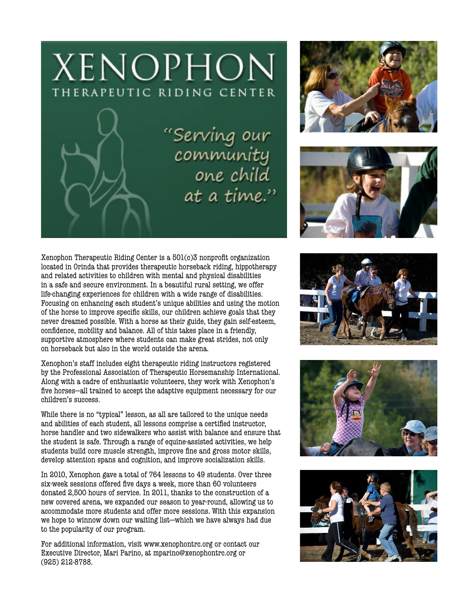

Serving our!"<br>community<br>one child at a time."





Xenophon Therapeutic Riding Center is a 501(c)3 nonprofit organization located in Orinda that provides therapeutic horseback riding, hippotherapy and related activities to children with mental and physical disabilities in a safe and secure environment. In a beautiful rural setting, we offer life-changing experiences for children with a wide range of disabilities. Focusing on enhancing each student's unique abilities and using the motion of the horse to improve specific skills, our children achieve goals that they never dreamed possible. With a horse as their guide, they gain self-esteem, confidence, mobility and balance. All of this takes place in a friendly, supportive atmosphere where students can make great strides, not only on horseback but also in the world outside the arena.

Xenophon's staff includes eight therapeutic riding instructors registered by the Professional Association of Therapeutic Horsemanship International. Along with a cadre of enthusiastic volunteers, they work with Xenophon's five horses—all trained to accept the adaptive equipment necessary for our children's success.

While there is no "typical" lesson, as all are tailored to the unique needs and abilities of each student, all lessons comprise a certified instructor, horse handler and two sidewalkers who assist with balance and ensure that the student is safe. Through a range of equine-assisted activities, we help students build core muscle strength, improve fine and gross motor skills, develop attention spans and cognition, and improve socialization skills.

In 2010, Xenophon gave a total of 764 lessons to 49 students. Over three six-week sessions offered five days a week, more than 60 volunteers donated 2,500 hours of service. In 2011, thanks to the construction of a new covered arena, we expanded our season to year-round, allowing us to accommodate more students and offer more sessions. With this expansion we hope to winnow down our waiting list—which we have always had due to the popularity of our program.

For additional information, visit www.xenophontrc.org or contact our Executive Director, Mari Parino, at mparino@xenophontrc.org or (925) 212-8788.